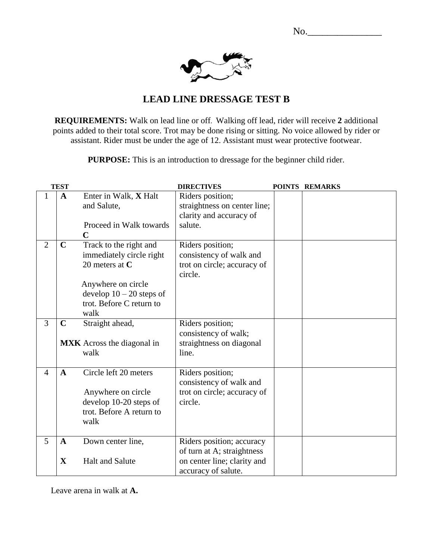No.



## **LEAD LINE DRESSAGE TEST B**

**REQUIREMENTS:** Walk on lead line or off. Walking off lead, rider will receive **2** additional points added to their total score. Trot may be done rising or sitting. No voice allowed by rider or assistant. Rider must be under the age of 12. Assistant must wear protective footwear.

**PURPOSE:** This is an introduction to dressage for the beginner child rider.

|                | <b>TEST</b>                 |                                                                                                                                                                | <b>DIRECTIVES</b>                                                                                             | POINTS REMARKS |
|----------------|-----------------------------|----------------------------------------------------------------------------------------------------------------------------------------------------------------|---------------------------------------------------------------------------------------------------------------|----------------|
| 1              | $\mathbf{A}$                | Enter in Walk, X Halt<br>and Salute,<br>Proceed in Walk towards<br>$\mathbf C$                                                                                 | Riders position;<br>straightness on center line;<br>clarity and accuracy of<br>salute.                        |                |
| $\overline{2}$ | $\mathbf C$                 | Track to the right and<br>immediately circle right<br>20 meters at $C$<br>Anywhere on circle<br>develop $10 - 20$ steps of<br>trot. Before C return to<br>walk | Riders position;<br>consistency of walk and<br>trot on circle; accuracy of<br>circle.                         |                |
| 3              | $\mathbf C$                 | Straight ahead,<br><b>MXK</b> Across the diagonal in<br>walk                                                                                                   | Riders position;<br>consistency of walk;<br>straightness on diagonal<br>line.                                 |                |
| $\overline{4}$ | $\mathbf{A}$                | Circle left 20 meters<br>Anywhere on circle<br>develop 10-20 steps of<br>trot. Before A return to<br>walk                                                      | Riders position;<br>consistency of walk and<br>trot on circle; accuracy of<br>circle.                         |                |
| 5              | $\mathbf{A}$<br>$\mathbf X$ | Down center line,<br><b>Halt and Salute</b>                                                                                                                    | Riders position; accuracy<br>of turn at A; straightness<br>on center line; clarity and<br>accuracy of salute. |                |

Leave arena in walk at **A.**